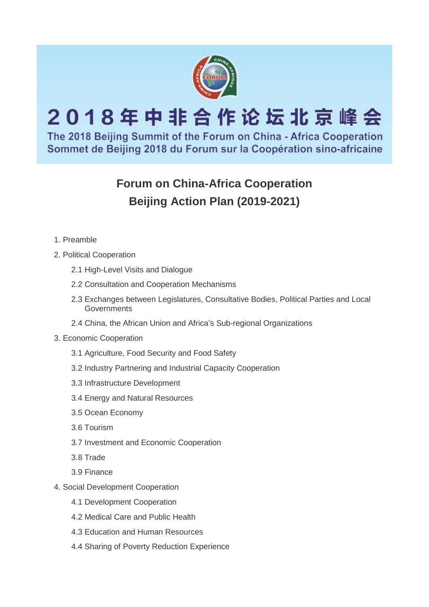

# 2018年中非合作论坛北京峰会

The 2018 Beijing Summit of the Forum on China - Africa Cooperation Sommet de Beijing 2018 du Forum sur la Coopération sino-africaine

# **Forum on China-Africa Cooperation Beijing Action Plan (2019-2021)**

- 1. Preamble
- 2. Political Cooperation
	- 2.1 High-Level Visits and Dialogue
	- 2.2 Consultation and Cooperation Mechanisms
	- 2.3 Exchanges between Legislatures, Consultative Bodies, Political Parties and Local **Governments**
	- 2.4 China, the African Union and Africa's Sub-regional Organizations
- 3. Economic Cooperation
	- 3.1 Agriculture, Food Security and Food Safety
	- 3.2 Industry Partnering and Industrial Capacity Cooperation
	- 3.3 Infrastructure Development
	- 3.4 Energy and Natural Resources
	- 3.5 Ocean Economy
	- 3.6 Tourism
	- 3.7 Investment and Economic Cooperation
	- 3.8 Trade
	- 3.9 Finance
- 4. Social Development Cooperation
	- 4.1 Development Cooperation
	- 4.2 Medical Care and Public Health
	- 4.3 Education and Human Resources
	- 4.4 Sharing of Poverty Reduction Experience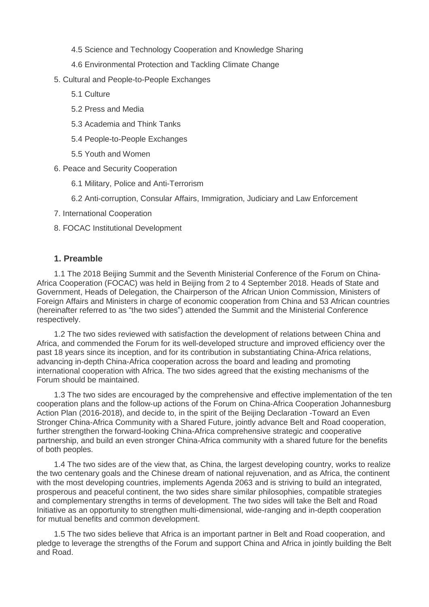- 4.5 Science and Technology Cooperation and Knowledge Sharing
- 4.6 Environmental Protection and Tackling Climate Change
- 5. Cultural and People-to-People Exchanges
	- 5.1 Culture
	- 5.2 Press and Media
	- 5.3 Academia and Think Tanks
	- 5.4 People-to-People Exchanges
	- 5.5 Youth and Women
- 6. Peace and Security Cooperation
	- 6.1 Military, Police and Anti-Terrorism
	- 6.2 Anti-corruption, Consular Affairs, Immigration, Judiciary and Law Enforcement
- 7. International Cooperation
- 8. FOCAC Institutional Development

# **1. Preamble**

1.1 The 2018 Beijing Summit and the Seventh Ministerial Conference of the Forum on China-Africa Cooperation (FOCAC) was held in Beijing from 2 to 4 September 2018. Heads of State and Government, Heads of Delegation, the Chairperson of the African Union Commission, Ministers of Foreign Affairs and Ministers in charge of economic cooperation from China and 53 African countries (hereinafter referred to as "the two sides") attended the Summit and the Ministerial Conference respectively.

1.2 The two sides reviewed with satisfaction the development of relations between China and Africa, and commended the Forum for its well-developed structure and improved efficiency over the past 18 years since its inception, and for its contribution in substantiating China-Africa relations, advancing in-depth China-Africa cooperation across the board and leading and promoting international cooperation with Africa. The two sides agreed that the existing mechanisms of the Forum should be maintained.

1.3 The two sides are encouraged by the comprehensive and effective implementation of the ten cooperation plans and the follow-up actions of the Forum on China-Africa Cooperation Johannesburg Action Plan (2016-2018), and decide to, in the spirit of the Beijing Declaration -Toward an Even Stronger China-Africa Community with a Shared Future, jointly advance Belt and Road cooperation, further strengthen the forward-looking China-Africa comprehensive strategic and cooperative partnership, and build an even stronger China-Africa community with a shared future for the benefits of both peoples.

1.4 The two sides are of the view that, as China, the largest developing country, works to realize the two centenary goals and the Chinese dream of national rejuvenation, and as Africa, the continent with the most developing countries, implements Agenda 2063 and is striving to build an integrated, prosperous and peaceful continent, the two sides share similar philosophies, compatible strategies and complementary strengths in terms of development. The two sides will take the Belt and Road Initiative as an opportunity to strengthen multi-dimensional, wide-ranging and in-depth cooperation for mutual benefits and common development.

1.5 The two sides believe that Africa is an important partner in Belt and Road cooperation, and pledge to leverage the strengths of the Forum and support China and Africa in jointly building the Belt and Road.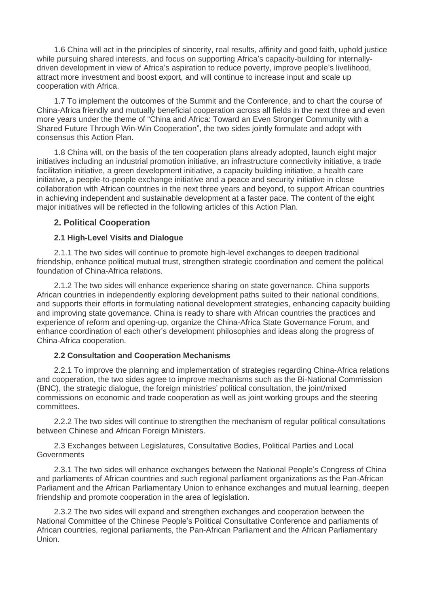1.6 China will act in the principles of sincerity, real results, affinity and good faith, uphold justice while pursuing shared interests, and focus on supporting Africa's capacity-building for internallydriven development in view of Africa's aspiration to reduce poverty, improve people's livelihood, attract more investment and boost export, and will continue to increase input and scale up cooperation with Africa.

1.7 To implement the outcomes of the Summit and the Conference, and to chart the course of China-Africa friendly and mutually beneficial cooperation across all fields in the next three and even more years under the theme of "China and Africa: Toward an Even Stronger Community with a Shared Future Through Win-Win Cooperation", the two sides jointly formulate and adopt with consensus this Action Plan.

1.8 China will, on the basis of the ten cooperation plans already adopted, launch eight major initiatives including an industrial promotion initiative, an infrastructure connectivity initiative, a trade facilitation initiative, a green development initiative, a capacity building initiative, a health care initiative, a people-to-people exchange initiative and a peace and security initiative in close collaboration with African countries in the next three years and beyond, to support African countries in achieving independent and sustainable development at a faster pace. The content of the eight major initiatives will be reflected in the following articles of this Action Plan.

# **2. Political Cooperation**

# **2.1 High-Level Visits and Dialogue**

2.1.1 The two sides will continue to promote high-level exchanges to deepen traditional friendship, enhance political mutual trust, strengthen strategic coordination and cement the political foundation of China-Africa relations.

2.1.2 The two sides will enhance experience sharing on state governance. China supports African countries in independently exploring development paths suited to their national conditions, and supports their efforts in formulating national development strategies, enhancing capacity building and improving state governance. China is ready to share with African countries the practices and experience of reform and opening-up, organize the China-Africa State Governance Forum, and enhance coordination of each other's development philosophies and ideas along the progress of China-Africa cooperation.

# **2.2 Consultation and Cooperation Mechanisms**

2.2.1 To improve the planning and implementation of strategies regarding China-Africa relations and cooperation, the two sides agree to improve mechanisms such as the Bi-National Commission (BNC), the strategic dialogue, the foreign ministries' political consultation, the joint/mixed commissions on economic and trade cooperation as well as joint working groups and the steering committees.

2.2.2 The two sides will continue to strengthen the mechanism of regular political consultations between Chinese and African Foreign Ministers.

2.3 Exchanges between Legislatures, Consultative Bodies, Political Parties and Local **Governments** 

2.3.1 The two sides will enhance exchanges between the National People's Congress of China and parliaments of African countries and such regional parliament organizations as the Pan-African Parliament and the African Parliamentary Union to enhance exchanges and mutual learning, deepen friendship and promote cooperation in the area of legislation.

2.3.2 The two sides will expand and strengthen exchanges and cooperation between the National Committee of the Chinese People's Political Consultative Conference and parliaments of African countries, regional parliaments, the Pan-African Parliament and the African Parliamentary Union.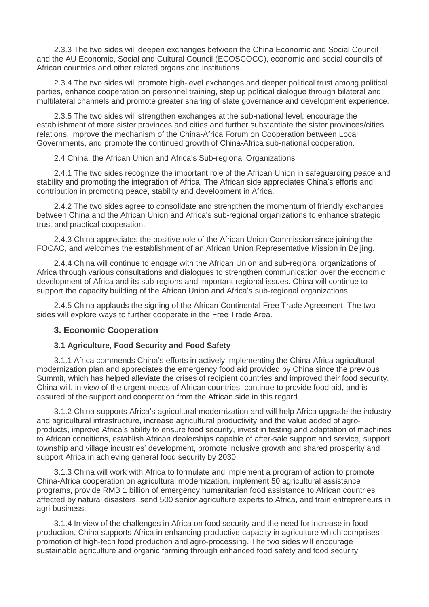2.3.3 The two sides will deepen exchanges between the China Economic and Social Council and the AU Economic, Social and Cultural Council (ECOSCOCC), economic and social councils of African countries and other related organs and institutions.

2.3.4 The two sides will promote high-level exchanges and deeper political trust among political parties, enhance cooperation on personnel training, step up political dialogue through bilateral and multilateral channels and promote greater sharing of state governance and development experience.

2.3.5 The two sides will strengthen exchanges at the sub-national level, encourage the establishment of more sister provinces and cities and further substantiate the sister provinces/cities relations, improve the mechanism of the China-Africa Forum on Cooperation between Local Governments, and promote the continued growth of China-Africa sub-national cooperation.

2.4 China, the African Union and Africa's Sub-regional Organizations

2.4.1 The two sides recognize the important role of the African Union in safeguarding peace and stability and promoting the integration of Africa. The African side appreciates China's efforts and contribution in promoting peace, stability and development in Africa.

2.4.2 The two sides agree to consolidate and strengthen the momentum of friendly exchanges between China and the African Union and Africa's sub-regional organizations to enhance strategic trust and practical cooperation.

2.4.3 China appreciates the positive role of the African Union Commission since joining the FOCAC, and welcomes the establishment of an African Union Representative Mission in Beijing.

2.4.4 China will continue to engage with the African Union and sub-regional organizations of Africa through various consultations and dialogues to strengthen communication over the economic development of Africa and its sub-regions and important regional issues. China will continue to support the capacity building of the African Union and Africa's sub-regional organizations.

2.4.5 China applauds the signing of the African Continental Free Trade Agreement. The two sides will explore ways to further cooperate in the Free Trade Area.

# **3. Economic Cooperation**

# **3.1 Agriculture, Food Security and Food Safety**

3.1.1 Africa commends China's efforts in actively implementing the China-Africa agricultural modernization plan and appreciates the emergency food aid provided by China since the previous Summit, which has helped alleviate the crises of recipient countries and improved their food security. China will, in view of the urgent needs of African countries, continue to provide food aid, and is assured of the support and cooperation from the African side in this regard.

3.1.2 China supports Africa's agricultural modernization and will help Africa upgrade the industry and agricultural infrastructure, increase agricultural productivity and the value added of agroproducts, improve Africa's ability to ensure food security, invest in testing and adaptation of machines to African conditions, establish African dealerships capable of after-sale support and service, support township and village industries' development, promote inclusive growth and shared prosperity and support Africa in achieving general food security by 2030.

3.1.3 China will work with Africa to formulate and implement a program of action to promote China-Africa cooperation on agricultural modernization, implement 50 agricultural assistance programs, provide RMB 1 billion of emergency humanitarian food assistance to African countries affected by natural disasters, send 500 senior agriculture experts to Africa, and train entrepreneurs in agri-business.

3.1.4 In view of the challenges in Africa on food security and the need for increase in food production, China supports Africa in enhancing productive capacity in agriculture which comprises promotion of high-tech food production and agro-processing. The two sides will encourage sustainable agriculture and organic farming through enhanced food safety and food security,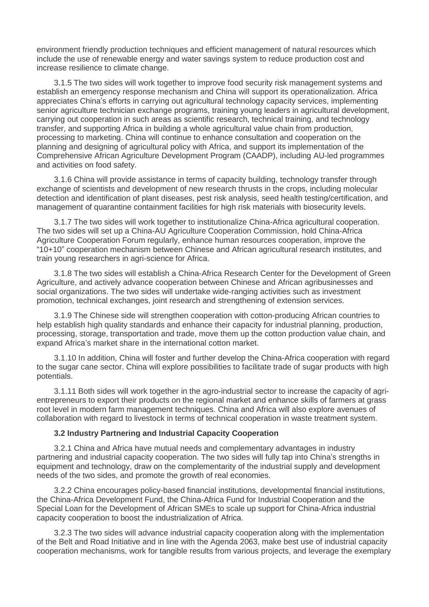environment friendly production techniques and efficient management of natural resources which include the use of renewable energy and water savings system to reduce production cost and increase resilience to climate change.

3.1.5 The two sides will work together to improve food security risk management systems and establish an emergency response mechanism and China will support its operationalization. Africa appreciates China's efforts in carrying out agricultural technology capacity services, implementing senior agriculture technician exchange programs, training young leaders in agricultural development, carrying out cooperation in such areas as scientific research, technical training, and technology transfer, and supporting Africa in building a whole agricultural value chain from production, processing to marketing. China will continue to enhance consultation and cooperation on the planning and designing of agricultural policy with Africa, and support its implementation of the Comprehensive African Agriculture Development Program (CAADP), including AU-led programmes and activities on food safety.

3.1.6 China will provide assistance in terms of capacity building, technology transfer through exchange of scientists and development of new research thrusts in the crops, including molecular detection and identification of plant diseases, pest risk analysis, seed health testing/certification, and management of quarantine containment facilities for high risk materials with biosecurity levels.

3.1.7 The two sides will work together to institutionalize China-Africa agricultural cooperation. The two sides will set up a China-AU Agriculture Cooperation Commission, hold China-Africa Agriculture Cooperation Forum regularly, enhance human resources cooperation, improve the "10+10" cooperation mechanism between Chinese and African agricultural research institutes, and train young researchers in agri-science for Africa.

3.1.8 The two sides will establish a China-Africa Research Center for the Development of Green Agriculture, and actively advance cooperation between Chinese and African agribusinesses and social organizations. The two sides will undertake wide-ranging activities such as investment promotion, technical exchanges, joint research and strengthening of extension services.

3.1.9 The Chinese side will strengthen cooperation with cotton-producing African countries to help establish high quality standards and enhance their capacity for industrial planning, production, processing, storage, transportation and trade, move them up the cotton production value chain, and expand Africa's market share in the international cotton market.

3.1.10 In addition, China will foster and further develop the China-Africa cooperation with regard to the sugar cane sector. China will explore possibilities to facilitate trade of sugar products with high potentials.

3.1.11 Both sides will work together in the agro-industrial sector to increase the capacity of agrientrepreneurs to export their products on the regional market and enhance skills of farmers at grass root level in modern farm management techniques. China and Africa will also explore avenues of collaboration with regard to livestock in terms of technical cooperation in waste treatment system.

#### **3.2 Industry Partnering and Industrial Capacity Cooperation**

3.2.1 China and Africa have mutual needs and complementary advantages in industry partnering and industrial capacity cooperation. The two sides will fully tap into China's strengths in equipment and technology, draw on the complementarity of the industrial supply and development needs of the two sides, and promote the growth of real economies.

3.2.2 China encourages policy-based financial institutions, developmental financial institutions, the China-Africa Development Fund, the China-Africa Fund for Industrial Cooperation and the Special Loan for the Development of African SMEs to scale up support for China-Africa industrial capacity cooperation to boost the industrialization of Africa.

3.2.3 The two sides will advance industrial capacity cooperation along with the implementation of the Belt and Road Initiative and in line with the Agenda 2063, make best use of industrial capacity cooperation mechanisms, work for tangible results from various projects, and leverage the exemplary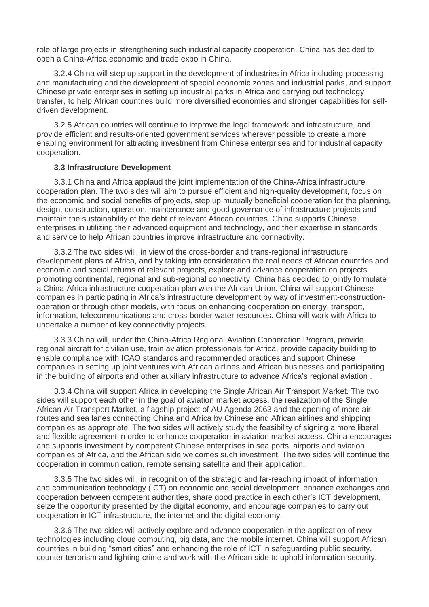role of large projects in strengthening such industrial capacity cooperation. China has decided to open a China-Africa economic and trade expo in China.

3.2.4 China will step up support in the development of industries in Africa including processing and manufacturing and the development of special economic zones and industrial parks, and support Chinese private enterprises in setting up industrial parks in Africa and carrying out technology transfer, to help African countries build more diversified economies and stronger capabilities for selfdriven development.

3.2.5 African countries will continue to improve the legal framework and infrastructure, and provide efficient and results-oriented government services wherever possible to create a more enabling environment for attracting investment from Chinese enterprises and for industrial capacity cooperation.

#### **3.3 Infrastructure Development**

3.3.1 China and Africa applaud the joint implementation of the China-Africa infrastructure cooperation plan. The two sides will aim to pursue efficient and high-quality development, focus on the economic and social benefits of projects, step up mutually beneficial cooperation for the planning, design, construction, operation, maintenance and good governance of infrastructure projects and maintain the sustainability of the debt of relevant African countries. China supports Chinese enterprises in utilizing their advanced equipment and technology, and their expertise in standards and service to help African countries improve infrastructure and connectivity.

3.3.2 The two sides will, in view of the cross-border and trans-regional infrastructure development plans of Africa, and by taking into consideration the real needs of African countries and economic and social returns of relevant projects, explore and advance cooperation on projects promoting continental, regional and sub-regional connectivity. China has decided to jointly formulate a China-Africa infrastructure cooperation plan with the African Union. China will support Chinese companies in participating in Africa's infrastructure development by way of investment-constructionoperation or through other models, with focus on enhancing cooperation on energy, transport, information, telecommunications and cross-border water resources. China will work with Africa to undertake a number of key connectivity projects.

3.3.3 China will, under the China-Africa Regional Aviation Cooperation Program, provide regional aircraft for civilian use, train aviation professionals for Africa, provide capacity building to enable compliance with ICAO standards and recommended practices and support Chinese companies in setting up joint ventures with African airlines and African businesses and participating in the building of airports and other auxiliary infrastructure to advance Africa's regional aviation .

3.3.4 China will support Africa in developing the Single African Air Transport Market. The two sides will support each other in the goal of aviation market access, the realization of the Single African Air Transport Market, a flagship project of AU Agenda 2063 and the opening of more air routes and sea lanes connecting China and Africa by Chinese and African airlines and shipping companies as appropriate. The two sides will actively study the feasibility of signing a more liberal and flexible agreement in order to enhance cooperation in aviation market access. China encourages and supports investment by competent Chinese enterprises in sea ports, airports and aviation companies of Africa, and the African side welcomes such investment. The two sides will continue the cooperation in communication, remote sensing satellite and their application.

3.3.5 The two sides will, in recognition of the strategic and far-reaching impact of information and communication technology (ICT) on economic and social development, enhance exchanges and cooperation between competent authorities, share good practice in each other's ICT development, seize the opportunity presented by the digital economy, and encourage companies to carry out cooperation in ICT infrastructure, the internet and the digital economy.

3.3.6 The two sides will actively explore and advance cooperation in the application of new technologies including cloud computing, big data, and the mobile internet. China will support African countries in building "smart cities" and enhancing the role of ICT in safeguarding public security, counter terrorism and fighting crime and work with the African side to uphold information security.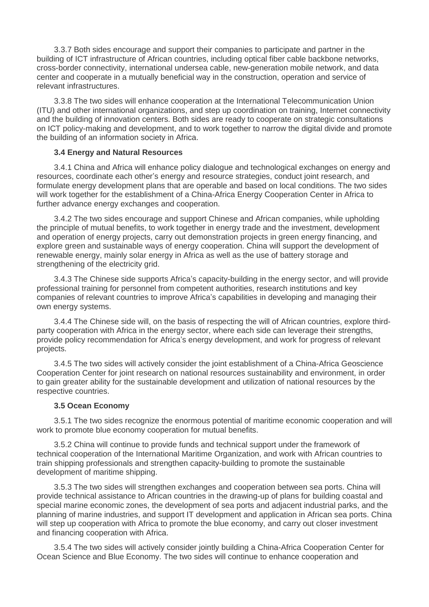3.3.7 Both sides encourage and support their companies to participate and partner in the building of ICT infrastructure of African countries, including optical fiber cable backbone networks, cross-border connectivity, international undersea cable, new-generation mobile network, and data center and cooperate in a mutually beneficial way in the construction, operation and service of relevant infrastructures.

3.3.8 The two sides will enhance cooperation at the International Telecommunication Union (ITU) and other international organizations, and step up coordination on training, Internet connectivity and the building of innovation centers. Both sides are ready to cooperate on strategic consultations on ICT policy-making and development, and to work together to narrow the digital divide and promote the building of an information society in Africa.

#### **3.4 Energy and Natural Resources**

3.4.1 China and Africa will enhance policy dialogue and technological exchanges on energy and resources, coordinate each other's energy and resource strategies, conduct joint research, and formulate energy development plans that are operable and based on local conditions. The two sides will work together for the establishment of a China-Africa Energy Cooperation Center in Africa to further advance energy exchanges and cooperation.

3.4.2 The two sides encourage and support Chinese and African companies, while upholding the principle of mutual benefits, to work together in energy trade and the investment, development and operation of energy projects, carry out demonstration projects in green energy financing, and explore green and sustainable ways of energy cooperation. China will support the development of renewable energy, mainly solar energy in Africa as well as the use of battery storage and strengthening of the electricity grid.

3.4.3 The Chinese side supports Africa's capacity-building in the energy sector, and will provide professional training for personnel from competent authorities, research institutions and key companies of relevant countries to improve Africa's capabilities in developing and managing their own energy systems.

3.4.4 The Chinese side will, on the basis of respecting the will of African countries, explore thirdparty cooperation with Africa in the energy sector, where each side can leverage their strengths, provide policy recommendation for Africa's energy development, and work for progress of relevant projects.

3.4.5 The two sides will actively consider the joint establishment of a China-Africa Geoscience Cooperation Center for joint research on national resources sustainability and environment, in order to gain greater ability for the sustainable development and utilization of national resources by the respective countries.

# **3.5 Ocean Economy**

3.5.1 The two sides recognize the enormous potential of maritime economic cooperation and will work to promote blue economy cooperation for mutual benefits.

3.5.2 China will continue to provide funds and technical support under the framework of technical cooperation of the International Maritime Organization, and work with African countries to train shipping professionals and strengthen capacity-building to promote the sustainable development of maritime shipping.

3.5.3 The two sides will strengthen exchanges and cooperation between sea ports. China will provide technical assistance to African countries in the drawing-up of plans for building coastal and special marine economic zones, the development of sea ports and adjacent industrial parks, and the planning of marine industries, and support IT development and application in African sea ports. China will step up cooperation with Africa to promote the blue economy, and carry out closer investment and financing cooperation with Africa.

3.5.4 The two sides will actively consider jointly building a China-Africa Cooperation Center for Ocean Science and Blue Economy. The two sides will continue to enhance cooperation and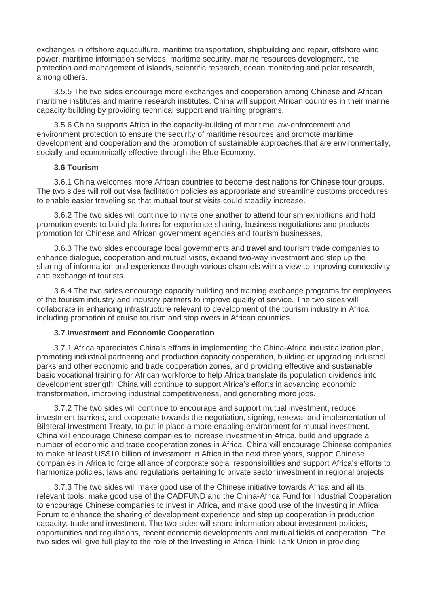exchanges in offshore aquaculture, maritime transportation, shipbuilding and repair, offshore wind power, maritime information services, maritime security, marine resources development, the protection and management of islands, scientific research, ocean monitoring and polar research, among others.

3.5.5 The two sides encourage more exchanges and cooperation among Chinese and African maritime institutes and marine research institutes. China will support African countries in their marine capacity building by providing technical support and training programs.

3.5.6 China supports Africa in the capacity-building of maritime law-enforcement and environment protection to ensure the security of maritime resources and promote maritime development and cooperation and the promotion of sustainable approaches that are environmentally, socially and economically effective through the Blue Economy.

# **3.6 Tourism**

3.6.1 China welcomes more African countries to become destinations for Chinese tour groups. The two sides will roll out visa facilitation policies as appropriate and streamline customs procedures to enable easier traveling so that mutual tourist visits could steadily increase.

3.6.2 The two sides will continue to invite one another to attend tourism exhibitions and hold promotion events to build platforms for experience sharing, business negotiations and products promotion for Chinese and African government agencies and tourism businesses.

3.6.3 The two sides encourage local governments and travel and tourism trade companies to enhance dialogue, cooperation and mutual visits, expand two-way investment and step up the sharing of information and experience through various channels with a view to improving connectivity and exchange of tourists.

3.6.4 The two sides encourage capacity building and training exchange programs for employees of the tourism industry and industry partners to improve quality of service. The two sides will collaborate in enhancing infrastructure relevant to development of the tourism industry in Africa including promotion of cruise tourism and stop overs in African countries.

#### **3.7 Investment and Economic Cooperation**

3.7.1 Africa appreciates China's efforts in implementing the China-Africa industrialization plan, promoting industrial partnering and production capacity cooperation, building or upgrading industrial parks and other economic and trade cooperation zones, and providing effective and sustainable basic vocational training for African workforce to help Africa translate its population dividends into development strength. China will continue to support Africa's efforts in advancing economic transformation, improving industrial competitiveness, and generating more jobs.

3.7.2 The two sides will continue to encourage and support mutual investment, reduce investment barriers, and cooperate towards the negotiation, signing, renewal and implementation of Bilateral Investment Treaty, to put in place a more enabling environment for mutual investment. China will encourage Chinese companies to increase investment in Africa, build and upgrade a number of economic and trade cooperation zones in Africa. China will encourage Chinese companies to make at least US\$10 billion of investment in Africa in the next three years, support Chinese companies in Africa to forge alliance of corporate social responsibilities and support Africa's efforts to harmonize policies, laws and regulations pertaining to private sector investment in regional projects.

3.7.3 The two sides will make good use of the Chinese initiative towards Africa and all its relevant tools, make good use of the CADFUND and the China-Africa Fund for Industrial Cooperation to encourage Chinese companies to invest in Africa, and make good use of the Investing in Africa Forum to enhance the sharing of development experience and step up cooperation in production capacity, trade and investment. The two sides will share information about investment policies, opportunities and regulations, recent economic developments and mutual fields of cooperation. The two sides will give full play to the role of the Investing in Africa Think Tank Union in providing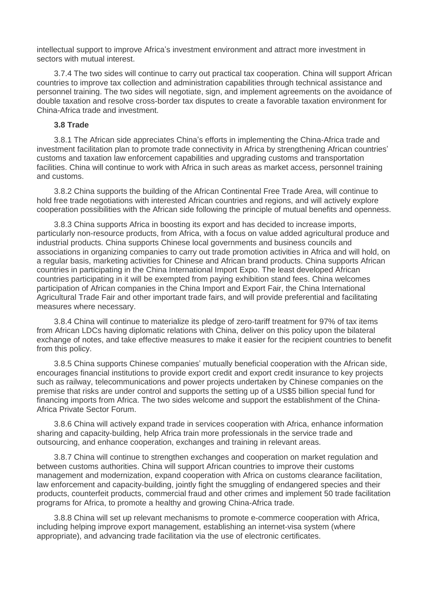intellectual support to improve Africa's investment environment and attract more investment in sectors with mutual interest.

3.7.4 The two sides will continue to carry out practical tax cooperation. China will support African countries to improve tax collection and administration capabilities through technical assistance and personnel training. The two sides will negotiate, sign, and implement agreements on the avoidance of double taxation and resolve cross-border tax disputes to create a favorable taxation environment for China-Africa trade and investment.

# **3.8 Trade**

3.8.1 The African side appreciates China's efforts in implementing the China-Africa trade and investment facilitation plan to promote trade connectivity in Africa by strengthening African countries' customs and taxation law enforcement capabilities and upgrading customs and transportation facilities. China will continue to work with Africa in such areas as market access, personnel training and customs.

3.8.2 China supports the building of the African Continental Free Trade Area, will continue to hold free trade negotiations with interested African countries and regions, and will actively explore cooperation possibilities with the African side following the principle of mutual benefits and openness.

3.8.3 China supports Africa in boosting its export and has decided to increase imports, particularly non-resource products, from Africa, with a focus on value added agricultural produce and industrial products. China supports Chinese local governments and business councils and associations in organizing companies to carry out trade promotion activities in Africa and will hold, on a regular basis, marketing activities for Chinese and African brand products. China supports African countries in participating in the China International Import Expo. The least developed African countries participating in it will be exempted from paying exhibition stand fees. China welcomes participation of African companies in the China Import and Export Fair, the China International Agricultural Trade Fair and other important trade fairs, and will provide preferential and facilitating measures where necessary.

3.8.4 China will continue to materialize its pledge of zero-tariff treatment for 97% of tax items from African LDCs having diplomatic relations with China, deliver on this policy upon the bilateral exchange of notes, and take effective measures to make it easier for the recipient countries to benefit from this policy.

3.8.5 China supports Chinese companies' mutually beneficial cooperation with the African side, encourages financial institutions to provide export credit and export credit insurance to key projects such as railway, telecommunications and power projects undertaken by Chinese companies on the premise that risks are under control and supports the setting up of a US\$5 billion special fund for financing imports from Africa. The two sides welcome and support the establishment of the China-Africa Private Sector Forum.

3.8.6 China will actively expand trade in services cooperation with Africa, enhance information sharing and capacity-building, help Africa train more professionals in the service trade and outsourcing, and enhance cooperation, exchanges and training in relevant areas.

3.8.7 China will continue to strengthen exchanges and cooperation on market regulation and between customs authorities. China will support African countries to improve their customs management and modernization, expand cooperation with Africa on customs clearance facilitation, law enforcement and capacity-building, jointly fight the smuggling of endangered species and their products, counterfeit products, commercial fraud and other crimes and implement 50 trade facilitation programs for Africa, to promote a healthy and growing China-Africa trade.

3.8.8 China will set up relevant mechanisms to promote e-commerce cooperation with Africa, including helping improve export management, establishing an internet-visa system (where appropriate), and advancing trade facilitation via the use of electronic certificates.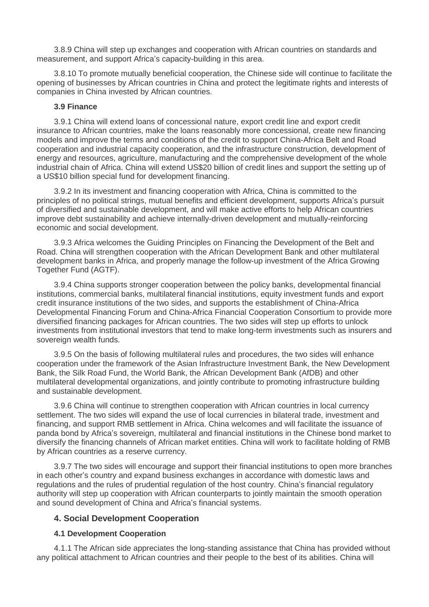3.8.9 China will step up exchanges and cooperation with African countries on standards and measurement, and support Africa's capacity-building in this area.

3.8.10 To promote mutually beneficial cooperation, the Chinese side will continue to facilitate the opening of businesses by African countries in China and protect the legitimate rights and interests of companies in China invested by African countries.

#### **3.9 Finance**

3.9.1 China will extend loans of concessional nature, export credit line and export credit insurance to African countries, make the loans reasonably more concessional, create new financing models and improve the terms and conditions of the credit to support China-Africa Belt and Road cooperation and industrial capacity cooperation, and the infrastructure construction, development of energy and resources, agriculture, manufacturing and the comprehensive development of the whole industrial chain of Africa. China will extend US\$20 billion of credit lines and support the setting up of a US\$10 billion special fund for development financing.

3.9.2 In its investment and financing cooperation with Africa, China is committed to the principles of no political strings, mutual benefits and efficient development, supports Africa's pursuit of diversified and sustainable development, and will make active efforts to help African countries improve debt sustainability and achieve internally-driven development and mutually-reinforcing economic and social development.

3.9.3 Africa welcomes the Guiding Principles on Financing the Development of the Belt and Road. China will strengthen cooperation with the African Development Bank and other multilateral development banks in Africa, and properly manage the follow-up investment of the Africa Growing Together Fund (AGTF).

3.9.4 China supports stronger cooperation between the policy banks, developmental financial institutions, commercial banks, multilateral financial institutions, equity investment funds and export credit insurance institutions of the two sides, and supports the establishment of China-Africa Developmental Financing Forum and China-Africa Financial Cooperation Consortium to provide more diversified financing packages for African countries. The two sides will step up efforts to unlock investments from institutional investors that tend to make long-term investments such as insurers and sovereign wealth funds.

3.9.5 On the basis of following multilateral rules and procedures, the two sides will enhance cooperation under the framework of the Asian Infrastructure Investment Bank, the New Development Bank, the Silk Road Fund, the World Bank, the African Development Bank (AfDB) and other multilateral developmental organizations, and jointly contribute to promoting infrastructure building and sustainable development.

3.9.6 China will continue to strengthen cooperation with African countries in local currency settlement. The two sides will expand the use of local currencies in bilateral trade, investment and financing, and support RMB settlement in Africa. China welcomes and will facilitate the issuance of panda bond by Africa's sovereign, multilateral and financial institutions in the Chinese bond market to diversify the financing channels of African market entities. China will work to facilitate holding of RMB by African countries as a reserve currency.

3.9.7 The two sides will encourage and support their financial institutions to open more branches in each other's country and expand business exchanges in accordance with domestic laws and regulations and the rules of prudential regulation of the host country. China's financial regulatory authority will step up cooperation with African counterparts to jointly maintain the smooth operation and sound development of China and Africa's financial systems.

# **4. Social Development Cooperation**

# **4.1 Development Cooperation**

4.1.1 The African side appreciates the long-standing assistance that China has provided without any political attachment to African countries and their people to the best of its abilities. China will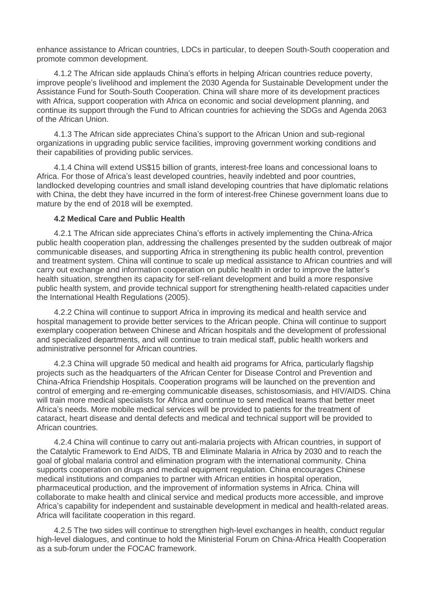enhance assistance to African countries, LDCs in particular, to deepen South-South cooperation and promote common development.

4.1.2 The African side applauds China's efforts in helping African countries reduce poverty, improve people's livelihood and implement the 2030 Agenda for Sustainable Development under the Assistance Fund for South-South Cooperation. China will share more of its development practices with Africa, support cooperation with Africa on economic and social development planning, and continue its support through the Fund to African countries for achieving the SDGs and Agenda 2063 of the African Union.

4.1.3 The African side appreciates China's support to the African Union and sub-regional organizations in upgrading public service facilities, improving government working conditions and their capabilities of providing public services.

4.1.4 China will extend US\$15 billion of grants, interest-free loans and concessional loans to Africa. For those of Africa's least developed countries, heavily indebted and poor countries, landlocked developing countries and small island developing countries that have diplomatic relations with China, the debt they have incurred in the form of interest-free Chinese government loans due to mature by the end of 2018 will be exempted.

#### **4.2 Medical Care and Public Health**

4.2.1 The African side appreciates China's efforts in actively implementing the China-Africa public health cooperation plan, addressing the challenges presented by the sudden outbreak of major communicable diseases, and supporting Africa in strengthening its public health control, prevention and treatment system. China will continue to scale up medical assistance to African countries and will carry out exchange and information cooperation on public health in order to improve the latter's health situation, strengthen its capacity for self-reliant development and build a more responsive public health system, and provide technical support for strengthening health-related capacities under the International Health Regulations (2005).

4.2.2 China will continue to support Africa in improving its medical and health service and hospital management to provide better services to the African people. China will continue to support exemplary cooperation between Chinese and African hospitals and the development of professional and specialized departments, and will continue to train medical staff, public health workers and administrative personnel for African countries.

4.2.3 China will upgrade 50 medical and health aid programs for Africa, particularly flagship projects such as the headquarters of the African Center for Disease Control and Prevention and China-Africa Friendship Hospitals. Cooperation programs will be launched on the prevention and control of emerging and re-emerging communicable diseases, schistosomiasis, and HIV/AIDS. China will train more medical specialists for Africa and continue to send medical teams that better meet Africa's needs. More mobile medical services will be provided to patients for the treatment of cataract, heart disease and dental defects and medical and technical support will be provided to African countries.

4.2.4 China will continue to carry out anti-malaria projects with African countries, in support of the Catalytic Framework to End AIDS, TB and Eliminate Malaria in Africa by 2030 and to reach the goal of global malaria control and elimination program with the international community. China supports cooperation on drugs and medical equipment regulation. China encourages Chinese medical institutions and companies to partner with African entities in hospital operation, pharmaceutical production, and the improvement of information systems in Africa. China will collaborate to make health and clinical service and medical products more accessible, and improve Africa's capability for independent and sustainable development in medical and health-related areas. Africa will facilitate cooperation in this regard.

4.2.5 The two sides will continue to strengthen high-level exchanges in health, conduct regular high-level dialogues, and continue to hold the Ministerial Forum on China-Africa Health Cooperation as a sub-forum under the FOCAC framework.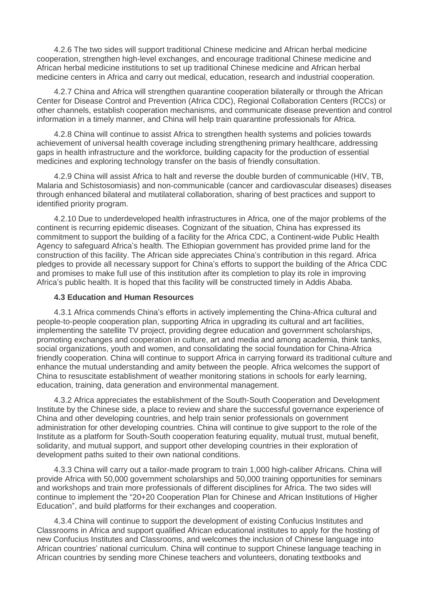4.2.6 The two sides will support traditional Chinese medicine and African herbal medicine cooperation, strengthen high-level exchanges, and encourage traditional Chinese medicine and African herbal medicine institutions to set up traditional Chinese medicine and African herbal medicine centers in Africa and carry out medical, education, research and industrial cooperation.

4.2.7 China and Africa will strengthen quarantine cooperation bilaterally or through the African Center for Disease Control and Prevention (Africa CDC), Regional Collaboration Centers (RCCs) or other channels, establish cooperation mechanisms, and communicate disease prevention and control information in a timely manner, and China will help train quarantine professionals for Africa.

4.2.8 China will continue to assist Africa to strengthen health systems and policies towards achievement of universal health coverage including strengthening primary healthcare, addressing gaps in health infrastructure and the workforce, building capacity for the production of essential medicines and exploring technology transfer on the basis of friendly consultation.

4.2.9 China will assist Africa to halt and reverse the double burden of communicable (HIV, TB, Malaria and Schistosomiasis) and non-communicable (cancer and cardiovascular diseases) diseases through enhanced bilateral and mutilateral collaboration, sharing of best practices and support to identified priority program.

4.2.10 Due to underdeveloped health infrastructures in Africa, one of the major problems of the continent is recurring epidemic diseases. Cognizant of the situation, China has expressed its commitment to support the building of a facility for the Africa CDC, a Continent-wide Public Health Agency to safeguard Africa's health. The Ethiopian government has provided prime land for the construction of this facility. The African side appreciates China's contribution in this regard. Africa pledges to provide all necessary support for China's efforts to support the building of the Africa CDC and promises to make full use of this institution after its completion to play its role in improving Africa's public health. It is hoped that this facility will be constructed timely in Addis Ababa.

#### **4.3 Education and Human Resources**

4.3.1 Africa commends China's efforts in actively implementing the China-Africa cultural and people-to-people cooperation plan, supporting Africa in upgrading its cultural and art facilities, implementing the satellite TV project, providing degree education and government scholarships, promoting exchanges and cooperation in culture, art and media and among academia, think tanks, social organizations, youth and women, and consolidating the social foundation for China-Africa friendly cooperation. China will continue to support Africa in carrying forward its traditional culture and enhance the mutual understanding and amity between the people. Africa welcomes the support of China to resuscitate establishment of weather monitoring stations in schools for early learning, education, training, data generation and environmental management.

4.3.2 Africa appreciates the establishment of the South-South Cooperation and Development Institute by the Chinese side, a place to review and share the successful governance experience of China and other developing countries, and help train senior professionals on government administration for other developing countries. China will continue to give support to the role of the Institute as a platform for South-South cooperation featuring equality, mutual trust, mutual benefit, solidarity, and mutual support, and support other developing countries in their exploration of development paths suited to their own national conditions.

4.3.3 China will carry out a tailor-made program to train 1,000 high-caliber Africans. China will provide Africa with 50,000 government scholarships and 50,000 training opportunities for seminars and workshops and train more professionals of different disciplines for Africa. The two sides will continue to implement the "20+20 Cooperation Plan for Chinese and African Institutions of Higher Education", and build platforms for their exchanges and cooperation.

4.3.4 China will continue to support the development of existing Confucius Institutes and Classrooms in Africa and support qualified African educational institutes to apply for the hosting of new Confucius Institutes and Classrooms, and welcomes the inclusion of Chinese language into African countries' national curriculum. China will continue to support Chinese language teaching in African countries by sending more Chinese teachers and volunteers, donating textbooks and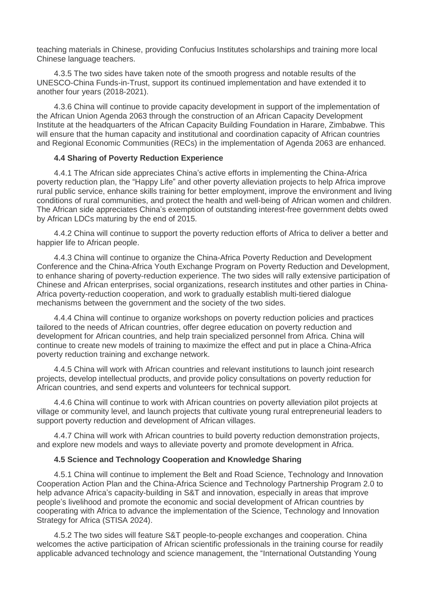teaching materials in Chinese, providing Confucius Institutes scholarships and training more local Chinese language teachers.

4.3.5 The two sides have taken note of the smooth progress and notable results of the UNESCO-China Funds-in-Trust, support its continued implementation and have extended it to another four years (2018-2021).

4.3.6 China will continue to provide capacity development in support of the implementation of the African Union Agenda 2063 through the construction of an African Capacity Development Institute at the headquarters of the African Capacity Building Foundation in Harare, Zimbabwe. This will ensure that the human capacity and institutional and coordination capacity of African countries and Regional Economic Communities (RECs) in the implementation of Agenda 2063 are enhanced.

# **4.4 Sharing of Poverty Reduction Experience**

4.4.1 The African side appreciates China's active efforts in implementing the China-Africa poverty reduction plan, the "Happy Life" and other poverty alleviation projects to help Africa improve rural public service, enhance skills training for better employment, improve the environment and living conditions of rural communities, and protect the health and well-being of African women and children. The African side appreciates China's exemption of outstanding interest-free government debts owed by African LDCs maturing by the end of 2015.

4.4.2 China will continue to support the poverty reduction efforts of Africa to deliver a better and happier life to African people.

4.4.3 China will continue to organize the China-Africa Poverty Reduction and Development Conference and the China-Africa Youth Exchange Program on Poverty Reduction and Development, to enhance sharing of poverty-reduction experience. The two sides will rally extensive participation of Chinese and African enterprises, social organizations, research institutes and other parties in China-Africa poverty-reduction cooperation, and work to gradually establish multi-tiered dialogue mechanisms between the government and the society of the two sides.

4.4.4 China will continue to organize workshops on poverty reduction policies and practices tailored to the needs of African countries, offer degree education on poverty reduction and development for African countries, and help train specialized personnel from Africa. China will continue to create new models of training to maximize the effect and put in place a China-Africa poverty reduction training and exchange network.

4.4.5 China will work with African countries and relevant institutions to launch joint research projects, develop intellectual products, and provide policy consultations on poverty reduction for African countries, and send experts and volunteers for technical support.

4.4.6 China will continue to work with African countries on poverty alleviation pilot projects at village or community level, and launch projects that cultivate young rural entrepreneurial leaders to support poverty reduction and development of African villages.

4.4.7 China will work with African countries to build poverty reduction demonstration projects, and explore new models and ways to alleviate poverty and promote development in Africa.

#### **4.5 Science and Technology Cooperation and Knowledge Sharing**

4.5.1 China will continue to implement the Belt and Road Science, Technology and Innovation Cooperation Action Plan and the China-Africa Science and Technology Partnership Program 2.0 to help advance Africa's capacity-building in S&T and innovation, especially in areas that improve people's livelihood and promote the economic and social development of African countries by cooperating with Africa to advance the implementation of the Science, Technology and Innovation Strategy for Africa (STISA 2024).

4.5.2 The two sides will feature S&T people-to-people exchanges and cooperation. China welcomes the active participation of African scientific professionals in the training course for readily applicable advanced technology and science management, the "International Outstanding Young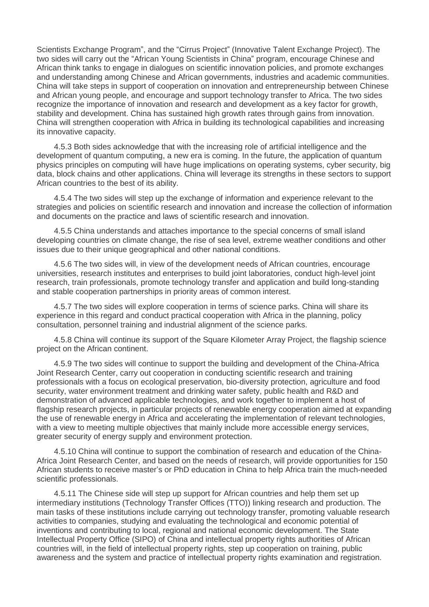Scientists Exchange Program", and the "Cirrus Project" (Innovative Talent Exchange Project). The two sides will carry out the "African Young Scientists in China" program, encourage Chinese and African think tanks to engage in dialogues on scientific innovation policies, and promote exchanges and understanding among Chinese and African governments, industries and academic communities. China will take steps in support of cooperation on innovation and entrepreneurship between Chinese and African young people, and encourage and support technology transfer to Africa. The two sides recognize the importance of innovation and research and development as a key factor for growth, stability and development. China has sustained high growth rates through gains from innovation. China will strengthen cooperation with Africa in building its technological capabilities and increasing its innovative capacity.

4.5.3 Both sides acknowledge that with the increasing role of artificial intelligence and the development of quantum computing, a new era is coming. In the future, the application of quantum physics principles on computing will have huge implications on operating systems, cyber security, big data, block chains and other applications. China will leverage its strengths in these sectors to support African countries to the best of its ability.

4.5.4 The two sides will step up the exchange of information and experience relevant to the strategies and policies on scientific research and innovation and increase the collection of information and documents on the practice and laws of scientific research and innovation.

4.5.5 China understands and attaches importance to the special concerns of small island developing countries on climate change, the rise of sea level, extreme weather conditions and other issues due to their unique geographical and other national conditions.

4.5.6 The two sides will, in view of the development needs of African countries, encourage universities, research institutes and enterprises to build joint laboratories, conduct high-level joint research, train professionals, promote technology transfer and application and build long-standing and stable cooperation partnerships in priority areas of common interest.

4.5.7 The two sides will explore cooperation in terms of science parks. China will share its experience in this regard and conduct practical cooperation with Africa in the planning, policy consultation, personnel training and industrial alignment of the science parks.

4.5.8 China will continue its support of the Square Kilometer Array Project, the flagship science project on the African continent.

4.5.9 The two sides will continue to support the building and development of the China-Africa Joint Research Center, carry out cooperation in conducting scientific research and training professionals with a focus on ecological preservation, bio-diversity protection, agriculture and food security, water environment treatment and drinking water safety, public health and R&D and demonstration of advanced applicable technologies, and work together to implement a host of flagship research projects, in particular projects of renewable energy cooperation aimed at expanding the use of renewable energy in Africa and accelerating the implementation of relevant technologies, with a view to meeting multiple objectives that mainly include more accessible energy services, greater security of energy supply and environment protection.

4.5.10 China will continue to support the combination of research and education of the China-Africa Joint Research Center, and based on the needs of research, will provide opportunities for 150 African students to receive master's or PhD education in China to help Africa train the much-needed scientific professionals.

4.5.11 The Chinese side will step up support for African countries and help them set up intermediary institutions (Technology Transfer Offices (TTO)) linking research and production. The main tasks of these institutions include carrying out technology transfer, promoting valuable research activities to companies, studying and evaluating the technological and economic potential of inventions and contributing to local, regional and national economic development. The State Intellectual Property Office (SIPO) of China and intellectual property rights authorities of African countries will, in the field of intellectual property rights, step up cooperation on training, public awareness and the system and practice of intellectual property rights examination and registration.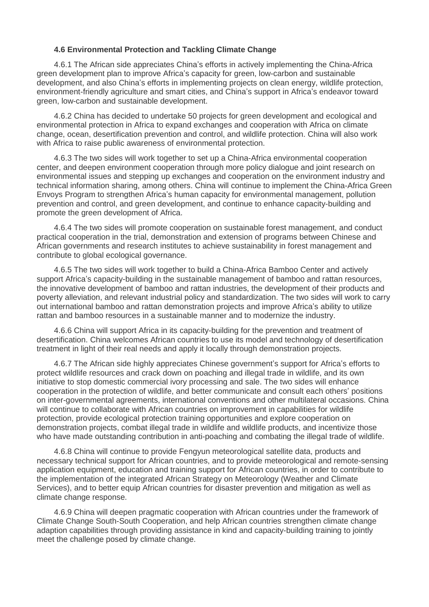# **4.6 Environmental Protection and Tackling Climate Change**

4.6.1 The African side appreciates China's efforts in actively implementing the China-Africa green development plan to improve Africa's capacity for green, low-carbon and sustainable development, and also China's efforts in implementing projects on clean energy, wildlife protection, environment-friendly agriculture and smart cities, and China's support in Africa's endeavor toward green, low-carbon and sustainable development.

4.6.2 China has decided to undertake 50 projects for green development and ecological and environmental protection in Africa to expand exchanges and cooperation with Africa on climate change, ocean, desertification prevention and control, and wildlife protection. China will also work with Africa to raise public awareness of environmental protection.

4.6.3 The two sides will work together to set up a China-Africa environmental cooperation center, and deepen environment cooperation through more policy dialogue and joint research on environmental issues and stepping up exchanges and cooperation on the environment industry and technical information sharing, among others. China will continue to implement the China-Africa Green Envoys Program to strengthen Africa's human capacity for environmental management, pollution prevention and control, and green development, and continue to enhance capacity-building and promote the green development of Africa.

4.6.4 The two sides will promote cooperation on sustainable forest management, and conduct practical cooperation in the trial, demonstration and extension of programs between Chinese and African governments and research institutes to achieve sustainability in forest management and contribute to global ecological governance.

4.6.5 The two sides will work together to build a China-Africa Bamboo Center and actively support Africa's capacity-building in the sustainable management of bamboo and rattan resources, the innovative development of bamboo and rattan industries, the development of their products and poverty alleviation, and relevant industrial policy and standardization. The two sides will work to carry out international bamboo and rattan demonstration projects and improve Africa's ability to utilize rattan and bamboo resources in a sustainable manner and to modernize the industry.

4.6.6 China will support Africa in its capacity-building for the prevention and treatment of desertification. China welcomes African countries to use its model and technology of desertification treatment in light of their real needs and apply it locally through demonstration projects.

4.6.7 The African side highly appreciates Chinese government's support for Africa's efforts to protect wildlife resources and crack down on poaching and illegal trade in wildlife, and its own initiative to stop domestic commercial ivory processing and sale. The two sides will enhance cooperation in the protection of wildlife, and better communicate and consult each others' positions on inter-governmental agreements, international conventions and other multilateral occasions. China will continue to collaborate with African countries on improvement in capabilities for wildlife protection, provide ecological protection training opportunities and explore cooperation on demonstration projects, combat illegal trade in wildlife and wildlife products, and incentivize those who have made outstanding contribution in anti-poaching and combating the illegal trade of wildlife.

4.6.8 China will continue to provide Fengyun meteorological satellite data, products and necessary technical support for African countries, and to provide meteorological and remote-sensing application equipment, education and training support for African countries, in order to contribute to the implementation of the integrated African Strategy on Meteorology (Weather and Climate Services), and to better equip African countries for disaster prevention and mitigation as well as climate change response.

4.6.9 China will deepen pragmatic cooperation with African countries under the framework of Climate Change South-South Cooperation, and help African countries strengthen climate change adaption capabilities through providing assistance in kind and capacity-building training to jointly meet the challenge posed by climate change.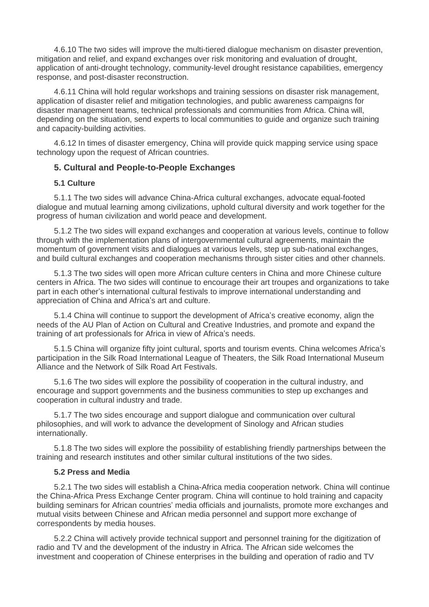4.6.10 The two sides will improve the multi-tiered dialogue mechanism on disaster prevention, mitigation and relief, and expand exchanges over risk monitoring and evaluation of drought, application of anti-drought technology, community-level drought resistance capabilities, emergency response, and post-disaster reconstruction.

4.6.11 China will hold regular workshops and training sessions on disaster risk management, application of disaster relief and mitigation technologies, and public awareness campaigns for disaster management teams, technical professionals and communities from Africa. China will, depending on the situation, send experts to local communities to guide and organize such training and capacity-building activities.

4.6.12 In times of disaster emergency, China will provide quick mapping service using space technology upon the request of African countries.

#### **5. Cultural and People-to-People Exchanges**

#### **5.1 Culture**

5.1.1 The two sides will advance China-Africa cultural exchanges, advocate equal-footed dialogue and mutual learning among civilizations, uphold cultural diversity and work together for the progress of human civilization and world peace and development.

5.1.2 The two sides will expand exchanges and cooperation at various levels, continue to follow through with the implementation plans of intergovernmental cultural agreements, maintain the momentum of government visits and dialogues at various levels, step up sub-national exchanges, and build cultural exchanges and cooperation mechanisms through sister cities and other channels.

5.1.3 The two sides will open more African culture centers in China and more Chinese culture centers in Africa. The two sides will continue to encourage their art troupes and organizations to take part in each other's international cultural festivals to improve international understanding and appreciation of China and Africa's art and culture.

5.1.4 China will continue to support the development of Africa's creative economy, align the needs of the AU Plan of Action on Cultural and Creative Industries, and promote and expand the training of art professionals for Africa in view of Africa's needs.

5.1.5 China will organize fifty joint cultural, sports and tourism events. China welcomes Africa's participation in the Silk Road International League of Theaters, the Silk Road International Museum Alliance and the Network of Silk Road Art Festivals.

5.1.6 The two sides will explore the possibility of cooperation in the cultural industry, and encourage and support governments and the business communities to step up exchanges and cooperation in cultural industry and trade.

5.1.7 The two sides encourage and support dialogue and communication over cultural philosophies, and will work to advance the development of Sinology and African studies internationally.

5.1.8 The two sides will explore the possibility of establishing friendly partnerships between the training and research institutes and other similar cultural institutions of the two sides.

#### **5.2 Press and Media**

5.2.1 The two sides will establish a China-Africa media cooperation network. China will continue the China-Africa Press Exchange Center program. China will continue to hold training and capacity building seminars for African countries' media officials and journalists, promote more exchanges and mutual visits between Chinese and African media personnel and support more exchange of correspondents by media houses.

5.2.2 China will actively provide technical support and personnel training for the digitization of radio and TV and the development of the industry in Africa. The African side welcomes the investment and cooperation of Chinese enterprises in the building and operation of radio and TV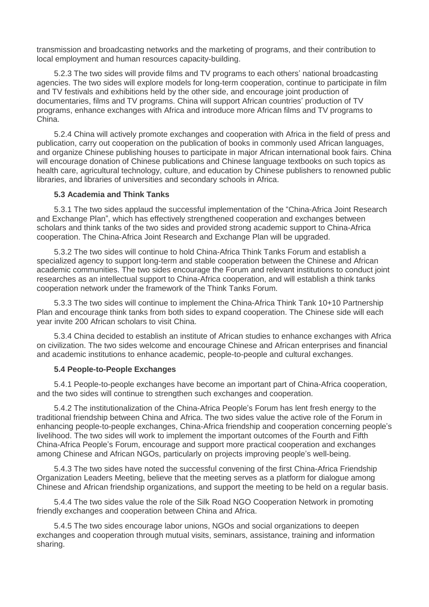transmission and broadcasting networks and the marketing of programs, and their contribution to local employment and human resources capacity-building.

5.2.3 The two sides will provide films and TV programs to each others' national broadcasting agencies. The two sides will explore models for long-term cooperation, continue to participate in film and TV festivals and exhibitions held by the other side, and encourage joint production of documentaries, films and TV programs. China will support African countries' production of TV programs, enhance exchanges with Africa and introduce more African films and TV programs to China.

5.2.4 China will actively promote exchanges and cooperation with Africa in the field of press and publication, carry out cooperation on the publication of books in commonly used African languages, and organize Chinese publishing houses to participate in major African international book fairs. China will encourage donation of Chinese publications and Chinese language textbooks on such topics as health care, agricultural technology, culture, and education by Chinese publishers to renowned public libraries, and libraries of universities and secondary schools in Africa.

#### **5.3 Academia and Think Tanks**

5.3.1 The two sides applaud the successful implementation of the "China-Africa Joint Research and Exchange Plan", which has effectively strengthened cooperation and exchanges between scholars and think tanks of the two sides and provided strong academic support to China-Africa cooperation. The China-Africa Joint Research and Exchange Plan will be upgraded.

5.3.2 The two sides will continue to hold China-Africa Think Tanks Forum and establish a specialized agency to support long-term and stable cooperation between the Chinese and African academic communities. The two sides encourage the Forum and relevant institutions to conduct joint researches as an intellectual support to China-Africa cooperation, and will establish a think tanks cooperation network under the framework of the Think Tanks Forum.

5.3.3 The two sides will continue to implement the China-Africa Think Tank 10+10 Partnership Plan and encourage think tanks from both sides to expand cooperation. The Chinese side will each year invite 200 African scholars to visit China.

5.3.4 China decided to establish an institute of African studies to enhance exchanges with Africa on civilization. The two sides welcome and encourage Chinese and African enterprises and financial and academic institutions to enhance academic, people-to-people and cultural exchanges.

# **5.4 People-to-People Exchanges**

5.4.1 People-to-people exchanges have become an important part of China-Africa cooperation, and the two sides will continue to strengthen such exchanges and cooperation.

5.4.2 The institutionalization of the China-Africa People's Forum has lent fresh energy to the traditional friendship between China and Africa. The two sides value the active role of the Forum in enhancing people-to-people exchanges, China-Africa friendship and cooperation concerning people's livelihood. The two sides will work to implement the important outcomes of the Fourth and Fifth China-Africa People's Forum, encourage and support more practical cooperation and exchanges among Chinese and African NGOs, particularly on projects improving people's well-being.

5.4.3 The two sides have noted the successful convening of the first China-Africa Friendship Organization Leaders Meeting, believe that the meeting serves as a platform for dialogue among Chinese and African friendship organizations, and support the meeting to be held on a regular basis.

5.4.4 The two sides value the role of the Silk Road NGO Cooperation Network in promoting friendly exchanges and cooperation between China and Africa.

5.4.5 The two sides encourage labor unions, NGOs and social organizations to deepen exchanges and cooperation through mutual visits, seminars, assistance, training and information sharing.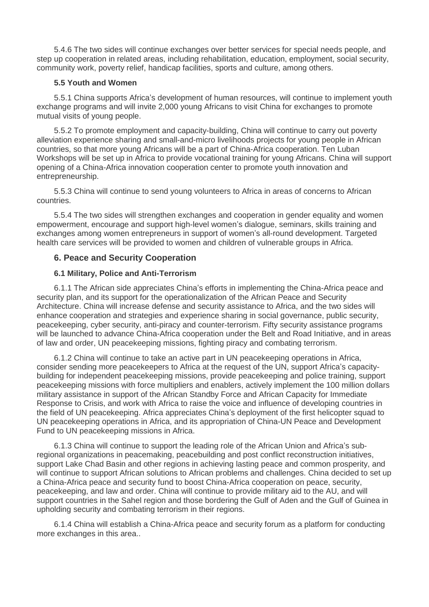5.4.6 The two sides will continue exchanges over better services for special needs people, and step up cooperation in related areas, including rehabilitation, education, employment, social security, community work, poverty relief, handicap facilities, sports and culture, among others.

# **5.5 Youth and Women**

5.5.1 China supports Africa's development of human resources, will continue to implement youth exchange programs and will invite 2,000 young Africans to visit China for exchanges to promote mutual visits of young people.

5.5.2 To promote employment and capacity-building, China will continue to carry out poverty alleviation experience sharing and small-and-micro livelihoods projects for young people in African countries, so that more young Africans will be a part of China-Africa cooperation. Ten Luban Workshops will be set up in Africa to provide vocational training for young Africans. China will support opening of a China-Africa innovation cooperation center to promote youth innovation and entrepreneurship.

5.5.3 China will continue to send young volunteers to Africa in areas of concerns to African countries.

5.5.4 The two sides will strengthen exchanges and cooperation in gender equality and women empowerment, encourage and support high-level women's dialogue, seminars, skills training and exchanges among women entrepreneurs in support of women's all-round development. Targeted health care services will be provided to women and children of vulnerable groups in Africa.

# **6. Peace and Security Cooperation**

# **6.1 Military, Police and Anti-Terrorism**

6.1.1 The African side appreciates China's efforts in implementing the China-Africa peace and security plan, and its support for the operationalization of the African Peace and Security Architecture. China will increase defense and security assistance to Africa, and the two sides will enhance cooperation and strategies and experience sharing in social governance, public security, peacekeeping, cyber security, anti-piracy and counter-terrorism. Fifty security assistance programs will be launched to advance China-Africa cooperation under the Belt and Road Initiative, and in areas of law and order, UN peacekeeping missions, fighting piracy and combating terrorism.

6.1.2 China will continue to take an active part in UN peacekeeping operations in Africa, consider sending more peacekeepers to Africa at the request of the UN, support Africa's capacitybuilding for independent peacekeeping missions, provide peacekeeping and police training, support peacekeeping missions with force multipliers and enablers, actively implement the 100 million dollars military assistance in support of the African Standby Force and African Capacity for Immediate Response to Crisis, and work with Africa to raise the voice and influence of developing countries in the field of UN peacekeeping. Africa appreciates China's deployment of the first helicopter squad to UN peacekeeping operations in Africa, and its appropriation of China-UN Peace and Development Fund to UN peacekeeping missions in Africa.

6.1.3 China will continue to support the leading role of the African Union and Africa's subregional organizations in peacemaking, peacebuilding and post conflict reconstruction initiatives, support Lake Chad Basin and other regions in achieving lasting peace and common prosperity, and will continue to support African solutions to African problems and challenges. China decided to set up a China-Africa peace and security fund to boost China-Africa cooperation on peace, security, peacekeeping, and law and order. China will continue to provide military aid to the AU, and will support countries in the Sahel region and those bordering the Gulf of Aden and the Gulf of Guinea in upholding security and combating terrorism in their regions.

6.1.4 China will establish a China-Africa peace and security forum as a platform for conducting more exchanges in this area..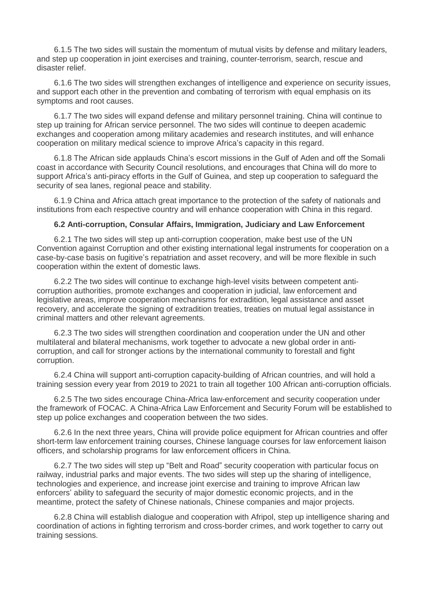6.1.5 The two sides will sustain the momentum of mutual visits by defense and military leaders, and step up cooperation in joint exercises and training, counter-terrorism, search, rescue and disaster relief.

6.1.6 The two sides will strengthen exchanges of intelligence and experience on security issues, and support each other in the prevention and combating of terrorism with equal emphasis on its symptoms and root causes.

6.1.7 The two sides will expand defense and military personnel training. China will continue to step up training for African service personnel. The two sides will continue to deepen academic exchanges and cooperation among military academies and research institutes, and will enhance cooperation on military medical science to improve Africa's capacity in this regard.

6.1.8 The African side applauds China's escort missions in the Gulf of Aden and off the Somali coast in accordance with Security Council resolutions, and encourages that China will do more to support Africa's anti-piracy efforts in the Gulf of Guinea, and step up cooperation to safeguard the security of sea lanes, regional peace and stability.

6.1.9 China and Africa attach great importance to the protection of the safety of nationals and institutions from each respective country and will enhance cooperation with China in this regard.

#### **6.2 Anti-corruption, Consular Affairs, Immigration, Judiciary and Law Enforcement**

6.2.1 The two sides will step up anti-corruption cooperation, make best use of the UN Convention against Corruption and other existing international legal instruments for cooperation on a case-by-case basis on fugitive's repatriation and asset recovery, and will be more flexible in such cooperation within the extent of domestic laws.

6.2.2 The two sides will continue to exchange high-level visits between competent anticorruption authorities, promote exchanges and cooperation in judicial, law enforcement and legislative areas, improve cooperation mechanisms for extradition, legal assistance and asset recovery, and accelerate the signing of extradition treaties, treaties on mutual legal assistance in criminal matters and other relevant agreements.

6.2.3 The two sides will strengthen coordination and cooperation under the UN and other multilateral and bilateral mechanisms, work together to advocate a new global order in anticorruption, and call for stronger actions by the international community to forestall and fight corruption.

6.2.4 China will support anti-corruption capacity-building of African countries, and will hold a training session every year from 2019 to 2021 to train all together 100 African anti-corruption officials.

6.2.5 The two sides encourage China-Africa law-enforcement and security cooperation under the framework of FOCAC. A China-Africa Law Enforcement and Security Forum will be established to step up police exchanges and cooperation between the two sides.

6.2.6 In the next three years, China will provide police equipment for African countries and offer short-term law enforcement training courses, Chinese language courses for law enforcement liaison officers, and scholarship programs for law enforcement officers in China.

6.2.7 The two sides will step up "Belt and Road" security cooperation with particular focus on railway, industrial parks and major events. The two sides will step up the sharing of intelligence, technologies and experience, and increase joint exercise and training to improve African law enforcers' ability to safeguard the security of major domestic economic projects, and in the meantime, protect the safety of Chinese nationals, Chinese companies and major projects.

6.2.8 China will establish dialogue and cooperation with Afripol, step up intelligence sharing and coordination of actions in fighting terrorism and cross-border crimes, and work together to carry out training sessions.